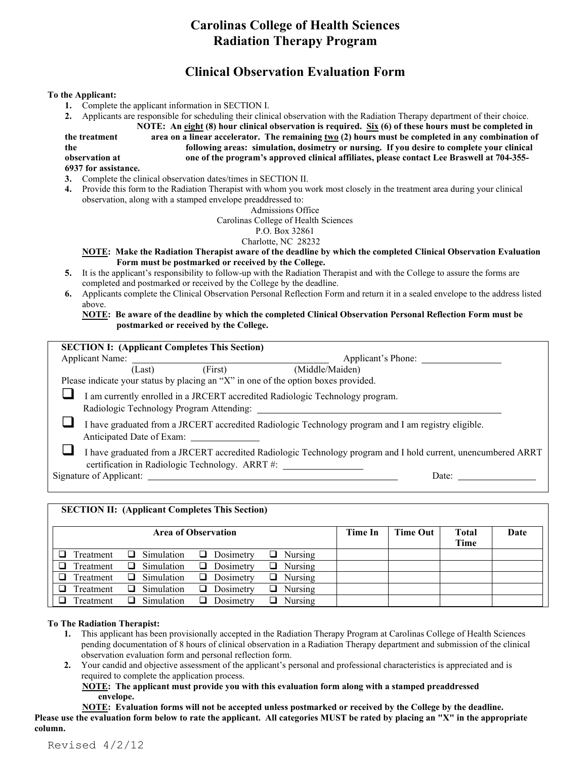# **Carolinas College of Health Sciences Radiation Therapy Program**

# **Clinical Observation Evaluation Form**

## **To the Applicant:**

- **1.** Complete the applicant information in SECTION I.
- **2.** Applicants are responsible for scheduling their clinical observation with the Radiation Therapy department of their choice.

**NOTE: An eight (8) hour clinical observation is required. Six (6) of these hours must be completed in** 

**the treatment area on a linear accelerator. The remaining two (2) hours must be completed in any combination of the following areas: simulation, dosimetry or nursing. If you desire to complete your clinical** 

**observation at one of the program's approved clinical affiliates, please contact Lee Braswell at 704-355-**

## **6937 for assistance.**

- **3.** Complete the clinical observation dates/times in SECTION II.
- **4.** Provide this form to the Radiation Therapist with whom you work most closely in the treatment area during your clinical observation, along with a stamped envelope preaddressed to:

Admissions Office

Carolinas College of Health Sciences

#### P.O. Box 32861

Charlotte, NC 28232

### **NOTE: Make the Radiation Therapist aware of the deadline by which the completed Clinical Observation Evaluation Form must be postmarked or received by the College.**

- **5.** It is the applicant's responsibility to follow-up with the Radiation Therapist and with the College to assure the forms are completed and postmarked or received by the College by the deadline.
- **6.** Applicants complete the Clinical Observation Personal Reflection Form and return it in a sealed envelope to the address listed above.

**NOTE: Be aware of the deadline by which the completed Clinical Observation Personal Reflection Form must be postmarked or received by the College.**

| <b>SECTION I:</b> (Applicant Completes This Section) |         |                                                                                                                                                                  |
|------------------------------------------------------|---------|------------------------------------------------------------------------------------------------------------------------------------------------------------------|
| Applicant Name:                                      |         | Applicant's Phone:                                                                                                                                               |
| (Last)                                               | (First) | (Middle/Maiden)                                                                                                                                                  |
|                                                      |         | Please indicate your status by placing an "X" in one of the option boxes provided.                                                                               |
|                                                      |         | I am currently enrolled in a JRCERT accredited Radiologic Technology program.                                                                                    |
|                                                      |         | I have graduated from a JRCERT accredited Radiologic Technology program and I am registry eligible.                                                              |
|                                                      |         |                                                                                                                                                                  |
|                                                      |         | I have graduated from a JRCERT accredited Radiologic Technology program and I hold current, unencumbered ARRT<br>certification in Radiologic Technology. ARRT #: |
| Signature of Applicant:                              |         | Date:                                                                                                                                                            |

# **SECTION II: (Applicant Completes This Section)** Area of Observation **Time In Time In Time Out Total Time Date**  $\Box$  Treatment  $\Box$  Simulation  $\Box$  Dosimetry  $\Box$  Nursing  $\Box$  Treatment  $\Box$  Simulation  $\Box$  Dosimetry  $\Box$  Nursing  $\Box$  Treatment  $\Box$  Simulation  $\Box$  Dosimetry  $\Box$  Nursing  $\Box$  Treatment  $\Box$  Simulation  $\Box$  Dosimetry  $\Box$  Nursing  $\Box$  Treatment  $\Box$  Simulation  $\Box$  Dosimetry  $\Box$  Nursing Simulation

## **To The Radiation Therapist:**

- **1.** This applicant has been provisionally accepted in the Radiation Therapy Program at Carolinas College of Health Sciences pending documentation of 8 hours of clinical observation in a Radiation Therapy department and submission of the clinical observation evaluation form and personal reflection form.
- **2.** Your candid and objective assessment of the applicant's personal and professional characteristics is appreciated and is required to complete the application process.

#### **NOTE: The applicant must provide you with this evaluation form along with a stamped preaddressed envelope.**

**NOTE: Evaluation forms will not be accepted unless postmarked or received by the College by the deadline. Please use the evaluation form below to rate the applicant. All categories MUST be rated by placing an "X" in the appropriate column.**